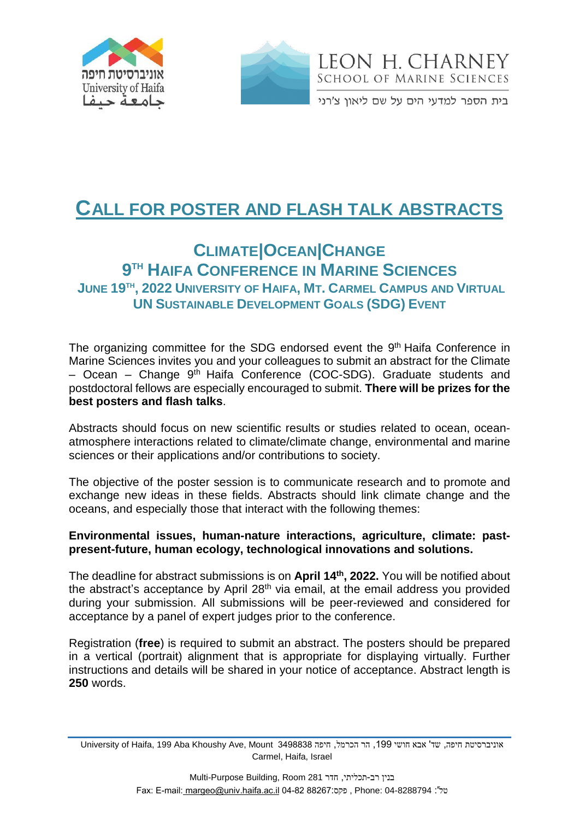



**LEON H. CHARNEY SCHOOL OF MARINE SCIENCES** 

בית הספר למדעי הים על שם ליאון צ'רני

## **CALL FOR POSTER AND FLASH TALK ABSTRACTS**

## **CLIMATE|OCEAN|CHANGE 9 TH HAIFA CONFERENCE IN MARINE SCIENCES JUNE 19TH , 2022 UNIVERSITY OF HAIFA, MT. CARMEL CAMPUS AND VIRTUAL UN SUSTAINABLE DEVELOPMENT GOALS (SDG) EVENT**

The organizing committee for the SDG endorsed event the 9<sup>th</sup> Haifa Conference in Marine Sciences invites you and your colleagues to submit an abstract for the Climate – Ocean – Change 9<sup>th</sup> Haifa Conference (COC-SDG). Graduate students and postdoctoral fellows are especially encouraged to submit. **There will be prizes for the best posters and flash talks**.

Abstracts should focus on new scientific results or studies related to ocean, oceanatmosphere interactions related to climate/climate change, environmental and marine sciences or their applications and/or contributions to society.

The objective of the poster session is to communicate research and to promote and exchange new ideas in these fields. Abstracts should link climate change and the oceans, and especially those that interact with the following themes:

## **Environmental issues, human-nature interactions, agriculture, climate: pastpresent-future, human ecology, technological innovations and solutions.**

The deadline for abstract submissions is on **April 14th , 2022.** You will be notified about the abstract's acceptance by April  $28<sup>th</sup>$  via email, at the email address you provided during your submission. All submissions will be peer-reviewed and considered for acceptance by a panel of expert judges prior to the conference.

Registration (**free**) is required to submit an abstract. The posters should be prepared in a vertical (portrait) alignment that is appropriate for displaying virtually. Further instructions and details will be shared in your notice of acceptance. Abstract length is **250** words.

University of Haifa, 199 Aba Khoushy Ave, Mount 3498838 הר הכרמל, חיפה הכרמל, חיפה, שד' אבא חושי 199 Carmel, Haifa, Israel